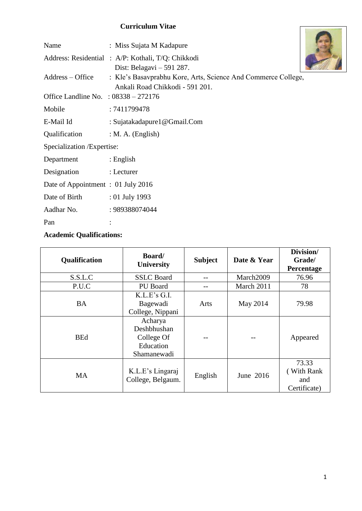## **Curriculum Vitae**

|                                        | Uurriculum vitae                                                                                 |  |
|----------------------------------------|--------------------------------------------------------------------------------------------------|--|
| Name                                   | : Miss Sujata M Kadapure                                                                         |  |
|                                        | Address: Residential : A/P: Kothali, T/Q: Chikkodi<br>Dist: Belagavi $-591$ 287.                 |  |
| Address – Office                       | : Kle's Basavprabhu Kore, Arts, Science And Commerce College,<br>Ankali Road Chikkodi - 591 201. |  |
| Office Landline No. : $08338 - 272176$ |                                                                                                  |  |
| Mobile                                 | : 7411799478                                                                                     |  |
| E-Mail Id                              | : Sujatakadapure1@Gmail.Com                                                                      |  |
| Qualification                          | $: M. A.$ (English)                                                                              |  |
| Specialization / Expertise:            |                                                                                                  |  |
| Department                             | : English                                                                                        |  |
| Designation                            | : Lecturer                                                                                       |  |
| Date of Appointment: 01 July 2016      |                                                                                                  |  |
| Date of Birth                          | $: 01$ July 1993                                                                                 |  |
| Aadhar No.                             | : 989388074044                                                                                   |  |
| Pan                                    |                                                                                                  |  |

## **Academic Qualifications:**

| Qualification | Board/<br>University                                    | <b>Subject</b> | Date & Year | Division/<br>Grade/<br>Percentage          |
|---------------|---------------------------------------------------------|----------------|-------------|--------------------------------------------|
| S.S.L.C       | <b>SSLC</b> Board                                       |                | March2009   | 76.96                                      |
| P.U.C         | PU Board                                                | --             | March 2011  | 78                                         |
| <b>BA</b>     | K.L.E's G.I.<br>Bagewadi<br>College, Nippani<br>Acharya | Arts           | May 2014    | 79.98                                      |
| <b>BEd</b>    | Deshbhushan<br>College Of<br>Education<br>Shamanewadi   |                |             | Appeared                                   |
| <b>MA</b>     | K.L.E's Lingaraj<br>College, Belgaum.                   | English        | June 2016   | 73.33<br>(With Rank<br>and<br>Certificate) |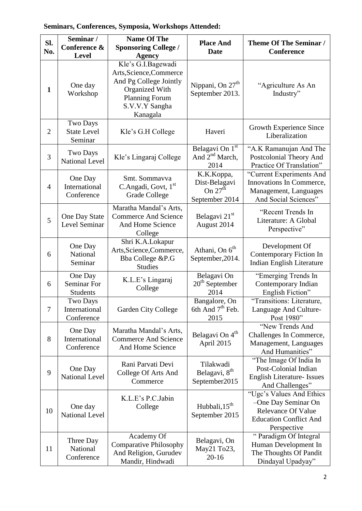# **Seminars, Conferences, Symposia, Workshops Attended:**

| SI.<br>No.     | Seminar /<br>Conference &<br><b>Level</b>        | <b>Name Of The</b><br><b>Sponsoring College /</b>                                                                                                                 | <b>Place And</b><br><b>Date</b>                            | <b>Theme Of The Seminar /</b><br>Conference                                                                                  |
|----------------|--------------------------------------------------|-------------------------------------------------------------------------------------------------------------------------------------------------------------------|------------------------------------------------------------|------------------------------------------------------------------------------------------------------------------------------|
| $\mathbf{1}$   | One day<br>Workshop                              | <b>Agency</b><br>Kle's G.I.Bagewadi<br>Arts, Science, Commerce<br>And Pg College Jointly<br>Organized With<br><b>Planning Forum</b><br>S.V.V.Y Sangha<br>Kanagala | Nippani, On 27 <sup>th</sup><br>September 2013.            | "Agriculture As An<br>Industry"                                                                                              |
| $\overline{2}$ | <b>Two Days</b><br><b>State Level</b><br>Seminar | Kle's G.H College                                                                                                                                                 | Haveri                                                     | Growth Experience Since<br>Liberalization                                                                                    |
| 3              | <b>Two Days</b><br><b>National Level</b>         | Kle's Lingaraj College                                                                                                                                            | Belagavi On 1st<br>And $2nd$ March,<br>2014                | "A.K Ramanujan And The<br>Postcolonial Theory And<br>Practice Of Translation"                                                |
| $\overline{4}$ | One Day<br>International<br>Conference           | Smt. Sommavva<br>C.Angadi, Govt, 1st<br><b>Grade College</b>                                                                                                      | K.K.Koppa,<br>Dist-Belagavi<br>On $27th$<br>September 2014 | "Current Experiments And<br>Innovations In Commerce,<br>Management, Languages<br>And Social Sciences"                        |
| 5              | One Day State<br>Level Seminar                   | Maratha Mandal's Arts,<br><b>Commerce And Science</b><br>And Home Science<br>College                                                                              | Belagavi 21 <sup>st</sup><br>August 2014                   | "Recent Trends In<br>Literature: A Global<br>Perspective"                                                                    |
| 6              | One Day<br>National<br>Seminar                   | Shri K.A.Lokapur<br>Arts, Science, Commerce,<br>Bba College &P.G<br><b>Studies</b>                                                                                | Athani, On 6 <sup>th</sup><br>September, 2014.             | Development Of<br>Contemporary Fiction In<br>Indian English Literature                                                       |
| 6              | One Day<br><b>Seminar For</b><br>Students        | K.L.E's Lingaraj<br>College                                                                                                                                       | Belagavi On<br>$20th$ September<br>2014                    | "Emerging Trends In<br>Contemporary Indian<br>English Fiction"                                                               |
| $\overline{7}$ | <b>Two Days</b><br>International<br>Conference   | <b>Garden City College</b>                                                                                                                                        | Bangalore, On<br>6th And 7 <sup>th</sup> Feb.<br>2015      | "Transitions: Literature,<br>Language And Culture-<br>Post 1980"                                                             |
| 8              | One Day<br>International<br>Conference           | Maratha Mandal's Arts,<br><b>Commerce And Science</b><br>And Home Science                                                                                         | Belagavi On 4 <sup>th</sup><br>April 2015                  | "New Trends And<br>Challenges In Commerce,<br>Management, Languages<br>And Humanities"                                       |
| 9              | One Day<br><b>National Level</b>                 | Rani Parvati Devi<br>College Of Arts And<br>Commerce                                                                                                              | Tilakwadi<br>Belagavi, 8th<br>September2015                | "The Image Of India In<br>Post-Colonial Indian<br><b>English Literature- Issues</b><br>And Challenges"                       |
| 10             | One day<br><b>National Level</b>                 | K.L.E's P.C.Jabin<br>College                                                                                                                                      | Hubbali, 15 <sup>th</sup><br>September 2015                | "Ugc's Values And Ethics<br>-One Day Seminar On<br><b>Relevance Of Value</b><br><b>Education Conflict And</b><br>Perspective |
| 11             | Three Day<br>National<br>Conference              | Academy Of<br><b>Comparative Philosophy</b><br>And Religion, Gurudev<br>Mandir, Hindwadi                                                                          | Belagavi, On<br>May21 To23,<br>$20 - 16$                   | "Paradigm Of Integral<br>Human Development In<br>The Thoughts Of Pandit<br>Dindayal Upadyay"                                 |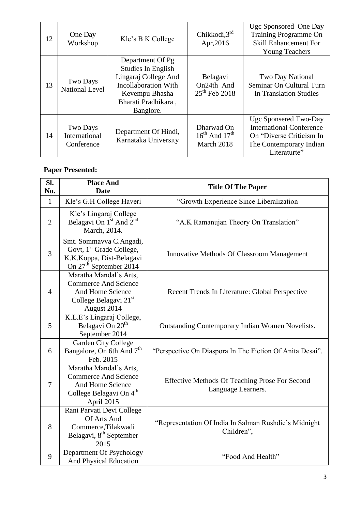| 12 | One Day<br>Workshop                            | Kle's B K College                                                                                                                                   | Chikkodi, $3rd$<br>Apr, 2016                        | Ugc Sponsored One Day<br><b>Training Programme On</b><br><b>Skill Enhancement For</b><br><b>Young Teachers</b>                  |
|----|------------------------------------------------|-----------------------------------------------------------------------------------------------------------------------------------------------------|-----------------------------------------------------|---------------------------------------------------------------------------------------------------------------------------------|
| 13 | Two Days<br><b>National Level</b>              | Department Of Pg<br>Studies In English<br>Lingaraj College And<br><b>Incollaboration With</b><br>Kevempu Bhasha<br>Bharati Pradhikara,<br>Banglore. | Belagavi<br>On24th And<br>$25^{th}$ Feb 2018        | Two Day National<br>Seminar On Cultural Turn<br>In Translation Studies                                                          |
| 14 | <b>Two Days</b><br>International<br>Conference | Department Of Hindi,<br>Karnataka University                                                                                                        | Dharwad On<br>$16^{th}$ And $17^{th}$<br>March 2018 | Ugc Sponsered Two-Day<br><b>International Conference</b><br>On "Diverse Criticism In<br>The Contemporary Indian<br>Literaturte" |

## **Paper Presented:**

| SI.<br>No.     | <b>Place And</b><br><b>Date</b>                                                                                                   | <b>Title Of The Paper</b>                                            |
|----------------|-----------------------------------------------------------------------------------------------------------------------------------|----------------------------------------------------------------------|
| $\mathbf{1}$   | Kle's G.H College Haveri                                                                                                          | "Growth Experience Since Liberalization                              |
| $\overline{2}$ | Kle's Lingaraj College<br>Belagavi On 1 <sup>st</sup> And 2 <sup>nd</sup><br>March, 2014.                                         | "A.K Ramanujan Theory On Translation"                                |
| 3              | Smt. Sommavva C.Angadi,<br>Govt, 1 <sup>st</sup> Grade College,<br>K.K.Koppa, Dist-Belagavi<br>On 27 <sup>th</sup> September 2014 | <b>Innovative Methods Of Classroom Management</b>                    |
| $\overline{4}$ | Maratha Mandal's Arts,<br><b>Commerce And Science</b><br>And Home Science<br>College Belagavi 21st<br>August 2014                 | Recent Trends In Literature: Global Perspective                      |
| 5              | K.L.E's Lingaraj College,<br>Belagavi On 20 <sup>th</sup><br>September 2014                                                       | <b>Outstanding Contemporary Indian Women Novelists.</b>              |
| 6              | <b>Garden City College</b><br>Bangalore, On 6th And 7 <sup>th</sup><br>Feb. 2015                                                  | "Perspective On Diaspora In The Fiction Of Anita Desai".             |
| 7              | Maratha Mandal's Arts,<br><b>Commerce And Science</b><br>And Home Science<br>College Belagavi On 4 <sup>th</sup><br>April 2015    | Effective Methods Of Teaching Prose For Second<br>Language Learners. |
| 8              | Rani Parvati Devi College<br>Of Arts And<br>Commerce, Tilakwadi<br>Belagavi, 8 <sup>th</sup> September<br>2015                    | "Representation Of India In Salman Rushdie's Midnight<br>Children",  |
| 9              | Department Of Psychology<br>And Physical Education                                                                                | "Food And Health"                                                    |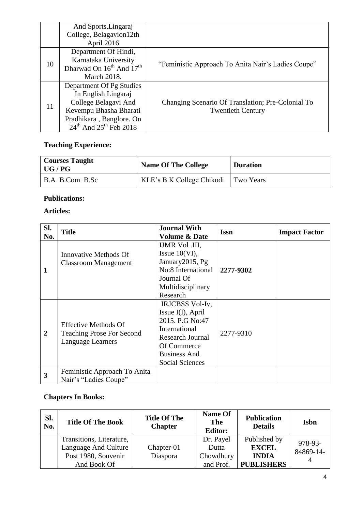|    | And Sports, Lingaraj               |                                                    |
|----|------------------------------------|----------------------------------------------------|
|    | College, Belagavion12th            |                                                    |
|    | April 2016                         |                                                    |
|    | Department Of Hindi,               |                                                    |
| 10 | Karnataka University               | "Feministic Approach To Anita Nair's Ladies Coupe" |
|    | Dharwad On $16^{th}$ And $17^{th}$ |                                                    |
|    | March 2018.                        |                                                    |
|    | Department Of Pg Studies           |                                                    |
|    | In English Lingaraj                |                                                    |
| 11 | College Belagavi And               | Changing Scenario Of Translation; Pre-Colonial To  |
|    | Kevempu Bhasha Bharati             | <b>Twentieth Century</b>                           |
|    | Pradhikara, Banglore. On           |                                                    |
|    | $24th$ And $25th$ Feb 2018         |                                                    |

# **Teaching Experience:**

| <b>Courses Taught</b><br>$\mid$ UG / PG $\mid$ | <b>Name Of The College</b> | <b>Duration</b> |
|------------------------------------------------|----------------------------|-----------------|
| B.A B.Com B.Sc                                 | KLE's B K College Chikodi  | Two Years       |

#### **Publications:**

#### **Articles:**

| Sl.<br>No.     | <b>Title</b>                                                                                | <b>Journal With</b><br><b>Volume &amp; Date</b>                                                                                                              | <b>Issn</b> | <b>Impact Factor</b> |
|----------------|---------------------------------------------------------------------------------------------|--------------------------------------------------------------------------------------------------------------------------------------------------------------|-------------|----------------------|
| 1              | <b>Innovative Methods Of</b><br><b>Classroom Management</b>                                 | <b>IJMR Vol .III,</b><br>Issue $10(VI)$ ,<br>January2015, Pg<br>No:8 International<br>Journal Of<br>Multidisciplinary<br>Research                            | 2277-9302   |                      |
| $\overline{2}$ | <b>Effective Methods Of</b><br><b>Teaching Prose For Second</b><br><b>Language Learners</b> | IRJCBSS Vol-Iv,<br>Issue I(I), April<br>2015. P.G No:47<br>International<br>Research Journal<br>Of Commerce<br><b>Business And</b><br><b>Social Sciences</b> | 2277-9310   |                      |
| 3              | Feministic Approach To Anita<br>Nair's "Ladies Coupe"                                       |                                                                                                                                                              |             |                      |

## **Chapters In Books:**

| Sl.<br>No. | <b>Title Of The Book</b> | <b>Title Of The</b><br><b>Chapter</b> | Name Of<br>The<br><b>Editor:</b> | <b>Publication</b><br><b>Details</b> | <b>Isbn</b> |
|------------|--------------------------|---------------------------------------|----------------------------------|--------------------------------------|-------------|
|            | Transitions, Literature, |                                       | Dr. Payel                        | Published by                         | 978-93-     |
|            | Language And Culture     | Chapter-01                            | Dutta                            | <b>EXCEL</b>                         | 84869-14-   |
|            | Post 1980, Souvenir      | Diaspora                              | Chowdhury                        | <b>INDIA</b>                         |             |
|            | And Book Of              |                                       | and Prof.                        | <b>PUBLISHERS</b>                    |             |